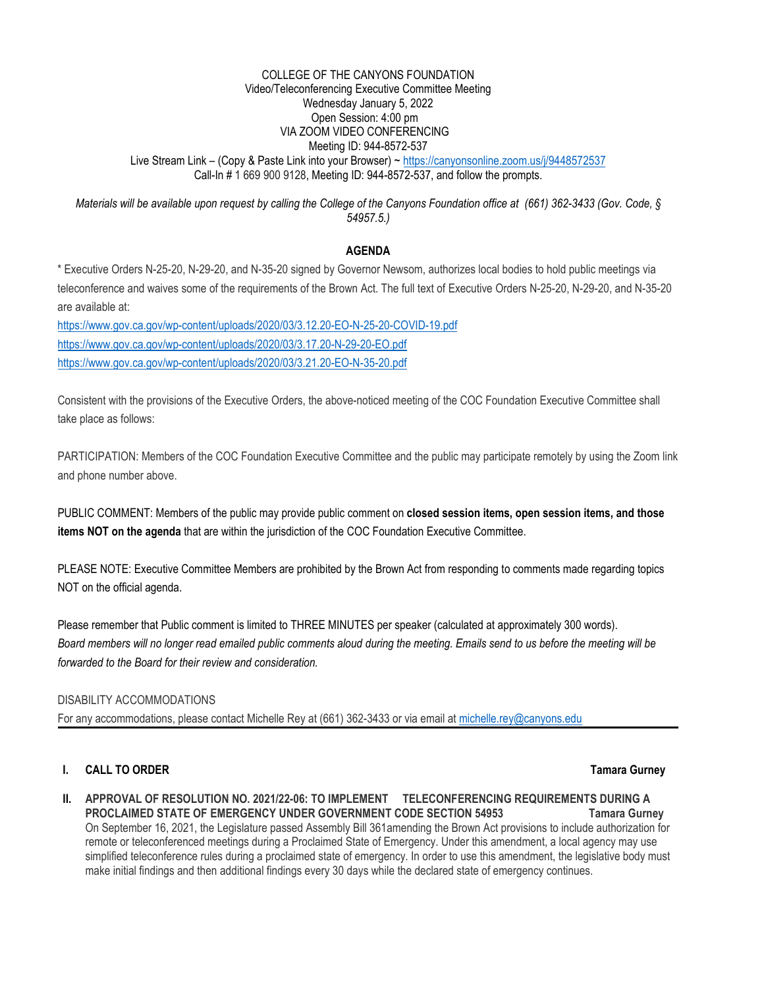#### COLLEGE OF THE CANYONS FOUNDATION Video/Teleconferencing Executive Committee Meeting Wednesday January 5, 2022 Open Session: 4:00 pm VIA ZOOM VIDEO CONFERENCING Meeting ID: 944-8572-537 Live Stream Link – (Copy & Paste Link into your Browser) ~ <https://canyonsonline.zoom.us/j/9448572537> Call-In # 1 669 900 9128, Meeting ID: 944-8572-537, and follow the prompts.

*Materials will be available upon request by calling the College of the Canyons Foundation office at (661) 362-3433 (Gov. Code, § 54957.5.)*

## **AGENDA**

\* Executive Orders N-25-20, N-29-20, and N-35-20 signed by Governor Newsom, authorizes local bodies to hold public meetings via teleconference and waives some of the requirements of the Brown Act. The full text of Executive Orders N-25-20, N-29-20, and N-35-20 are available at:

<https://www.gov.ca.gov/wp-content/uploads/2020/03/3.12.20-EO-N-25-20-COVID-19.pdf> <https://www.gov.ca.gov/wp-content/uploads/2020/03/3.17.20-N-29-20-EO.pdf> <https://www.gov.ca.gov/wp-content/uploads/2020/03/3.21.20-EO-N-35-20.pdf>

Consistent with the provisions of the Executive Orders, the above-noticed meeting of the COC Foundation Executive Committee shall take place as follows:

PARTICIPATION: Members of the COC Foundation Executive Committee and the public may participate remotely by using the Zoom link and phone number above.

PUBLIC COMMENT: Members of the public may provide public comment on **closed session items, open session items, and those items NOT on the agenda** that are within the jurisdiction of the COC Foundation Executive Committee.

PLEASE NOTE: Executive Committee Members are prohibited by the Brown Act from responding to comments made regarding topics NOT on the official agenda.

Please remember that Public comment is limited to THREE MINUTES per speaker (calculated at approximately 300 words). *Board members will no longer read emailed public comments aloud during the meeting. Emails send to us before the meeting will be forwarded to the Board for their review and consideration.*

### DISABILITY ACCOMMODATIONS

For any accommodations, please contact Michelle Rey at (661) 362-3433 or via email at [michelle.rey@canyons.edu](mailto:michelle.rey@canyons.edu)

# **I. CALL TO ORDER Tamara Gurney**

**II. APPROVAL OF RESOLUTION NO. 2021/22-06: TO IMPLEMENT TELECONFERENCING REQUIREMENTS DURING A PROCLAIMED STATE OF EMERGENCY UNDER GOVERNMENT CODE SECTION 54953 Tamara Gurney** On September 16, 2021, the Legislature passed Assembly Bill 361amending the Brown Act provisions to include authorization for remote or teleconferenced meetings during a Proclaimed State of Emergency. Under this amendment, a local agency may use simplified teleconference rules during a proclaimed state of emergency. In order to use this amendment, the legislative body must make initial findings and then additional findings every 30 days while the declared state of emergency continues.